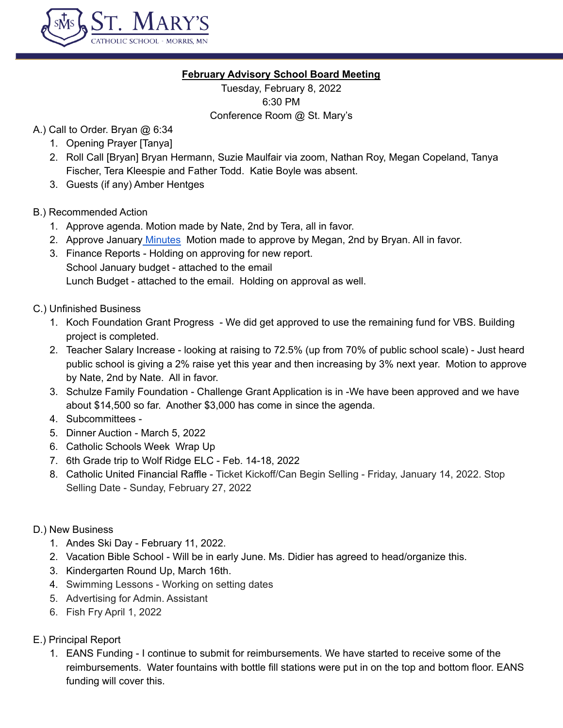

## **February Advisory School Board Meeting**

Tuesday, February 8, 2022 6:30 PM Conference Room @ St. Mary's

- A.) Call to Order. Bryan @ 6:34
	- 1. Opening Prayer [Tanya]
	- 2. Roll Call [Bryan] Bryan Hermann, Suzie Maulfair via zoom, Nathan Roy, Megan Copeland, Tanya Fischer, Tera Kleespie and Father Todd. Katie Boyle was absent.
	- 3. Guests (if any) Amber Hentges

## B.) Recommended Action

- 1. Approve agenda. Motion made by Nate, 2nd by Tera, all in favor.
- 2. Approve January [Minutes](https://docs.google.com/document/d/1jPxZoNLv_G7JcsKrPXXA8KbKyZz4-FpFiNQ5pwpcJaU/edit) Motion made to approve by Megan, 2nd by Bryan. All in favor.
- 3. Finance Reports Holding on approving for new report. School January budget - attached to the email Lunch Budget - attached to the email. Holding on approval as well.
- C.) Unfinished Business
	- 1. Koch Foundation Grant Progress We did get approved to use the remaining fund for VBS. Building project is completed.
	- 2. Teacher Salary Increase looking at raising to 72.5% (up from 70% of public school scale) Just heard public school is giving a 2% raise yet this year and then increasing by 3% next year. Motion to approve by Nate, 2nd by Nate. All in favor.
	- 3. Schulze Family Foundation Challenge Grant Application is in -We have been approved and we have about \$14,500 so far. Another \$3,000 has come in since the agenda.
	- 4. Subcommittees -
	- 5. Dinner Auction March 5, 2022
	- 6. Catholic Schools Week Wrap Up
	- 7. 6th Grade trip to Wolf Ridge ELC Feb. 14-18, 2022
	- 8. Catholic United Financial Raffle Ticket Kickoff/Can Begin Selling Friday, January 14, 2022. Stop Selling Date - Sunday, February 27, 2022

#### D.) New Business

- 1. Andes Ski Day February 11, 2022.
- 2. Vacation Bible School Will be in early June. Ms. Didier has agreed to head/organize this.
- 3. Kindergarten Round Up, March 16th.
- 4. Swimming Lessons Working on setting dates
- 5. Advertising for Admin. Assistant
- 6. Fish Fry April 1, 2022

# E.) Principal Report

1. EANS Funding - I continue to submit for reimbursements. We have started to receive some of the reimbursements. Water fountains with bottle fill stations were put in on the top and bottom floor. EANS funding will cover this.